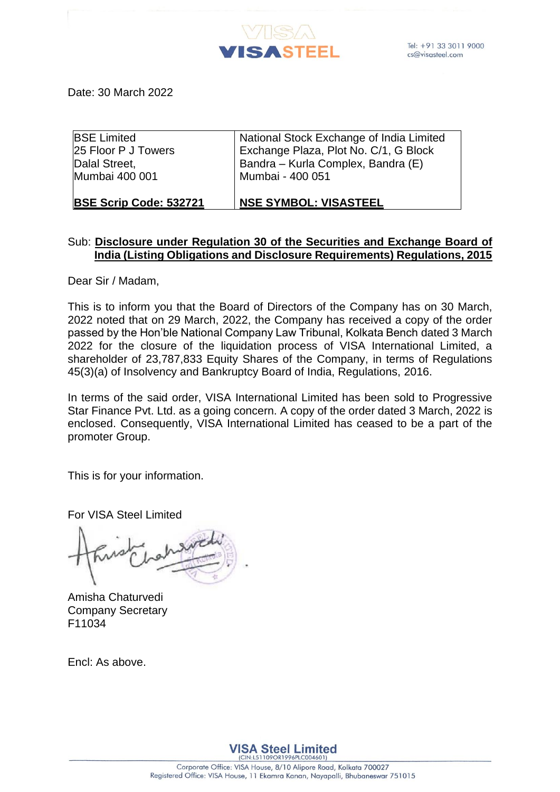

Date: 30 March 2022

| <b>BSE Scrip Code: 532721</b> | <b>NSE SYMBOL: VISASTEEL</b>             |
|-------------------------------|------------------------------------------|
| Mumbai 400 001                | Mumbai - 400 051                         |
| Dalal Street,                 | Bandra – Kurla Complex, Bandra (E)       |
| 25 Floor P J Towers           | Exchange Plaza, Plot No. C/1, G Block    |
| <b>BSE Limited</b>            | National Stock Exchange of India Limited |

# Sub: **Disclosure under Regulation 30 of the Securities and Exchange Board of India (Listing Obligations and Disclosure Requirements) Regulations, 2015**

Dear Sir / Madam,

This is to inform you that the Board of Directors of the Company has on 30 March, 2022 noted that on 29 March, 2022, the Company has received a copy of the order passed by the Hon'ble National Company Law Tribunal, Kolkata Bench dated 3 March 2022 for the closure of the liquidation process of VISA International Limited, a shareholder of 23,787,833 Equity Shares of the Company, in terms of Regulations 45(3)(a) of Insolvency and Bankruptcy Board of India, Regulations, 2016.

In terms of the said order, VISA International Limited has been sold to Progressive Star Finance Pvt. Ltd. as a going concern. A copy of the order dated 3 March, 2022 is enclosed. Consequently, VISA International Limited has ceased to be a part of the promoter Group.

This is for your information.

For VISA Steel Limited

Amisha Chaturvedi Company Secretary F11034

Encl: As above.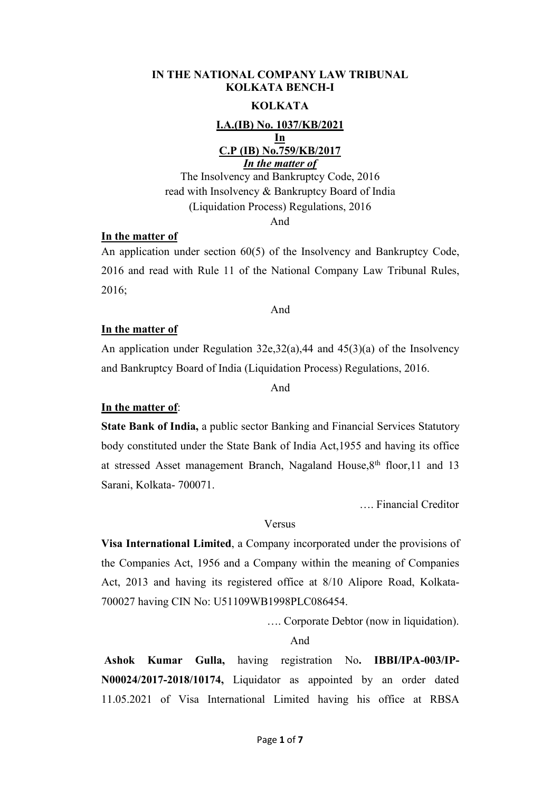### **IN THE NATIONAL COMPANY LAW TRIBUNAL KOLKATA BENCH-I**

## **KOLKATA**

**I.A.(IB) No. 1037/KB/2021 In C.P (IB) No.759/KB/2017** *In the matter of*

The Insolvency and Bankruptcy Code, 2016 read with Insolvency & Bankruptcy Board of India (Liquidation Process) Regulations, 2016 And

### **In the matter of**

An application under section 60(5) of the Insolvency and Bankruptcy Code, 2016 and read with Rule 11 of the National Company Law Tribunal Rules, 2016;

#### And

### **In the matter of**

An application under Regulation 32e,32(a),44 and 45(3)(a) of the Insolvency and Bankruptcy Board of India (Liquidation Process) Regulations, 2016.

And

## **In the matter of**:

**State Bank of India,** a public sector Banking and Financial Services Statutory body constituted under the State Bank of India Act,1955 and having its office at stressed Asset management Branch, Nagaland House, 8<sup>th</sup> floor, 11 and 13 Sarani, Kolkata- 700071.

…. Financial Creditor

#### Versus

**Visa International Limited**, a Company incorporated under the provisions of the Companies Act, 1956 and a Company within the meaning of Companies Act, 2013 and having its registered office at 8/10 Alipore Road, Kolkata- 700027 having CIN No: U51109WB1998PLC086454.

…. Corporate Debtor (now in liquidation).

## And

**Ashok Kumar Gulla,** having registration No**. IBBI/IPA-003/IP- N00024/2017-2018/10174,** Liquidator as appointed by an order dated 11.05.2021 of Visa International Limited having his office at RBSA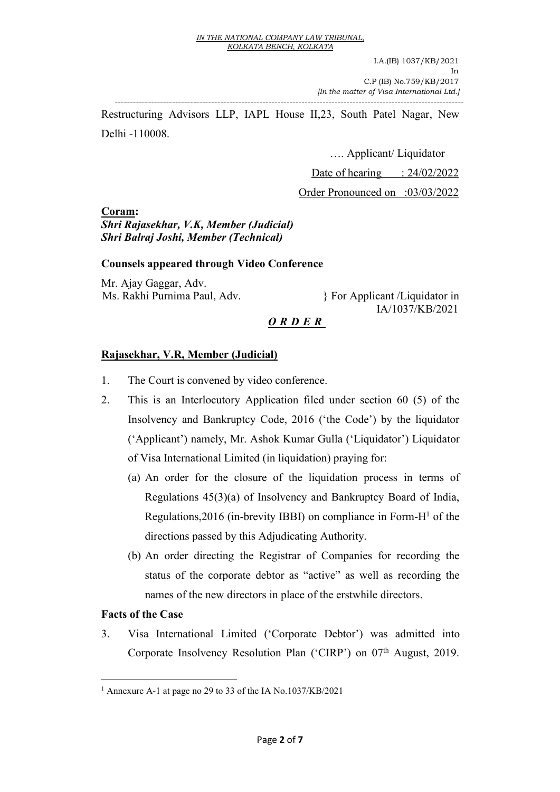I.A.(IB) 1037/KB/2021 In the contract of the contract of the contract of the contract of the contract of the contract of the contract of the contract of the contract of the contract of the contract of the contract of the contract of the contrac C.P (IB) No.759/KB/2017 *[In the matter of Visa International Ltd.]* 

Restructuring Advisors LLP, IAPL House II,23, South Patel Nagar, New Delhi -110008.

--------------------------------------------------------------------------------------------------------------------

…. Applicant/ Liquidator

Date of hearing  $\therefore$  24/02/2022

Order Pronounced on :03/03/2022

**Coram:**

# *Shri Rajasekhar, V.K, Member (Judicial) Shri Balraj Joshi, Member (Technical)*

# **Counsels appeared through Video Conference**

Mr. Ajay Gaggar, Adv.

Ms. Rakhi Purnima Paul, Adv. <br> } For Applicant /Liquidator in IA/1037/KB/2021

# *O R D E R*

# **Rajasekhar, V.R, Member (Judicial)**

- 1. The Court is convened by video conference.
- 2. This is an Interlocutory Application filed under section 60 (5) of the Insolvency and Bankruptcy Code, 2016 ('the Code') by the liquidator ('Applicant') namely, Mr. Ashok Kumar Gulla ('Liquidator') Liquidator of Visa International Limited (in liquidation) praying for:
	- (a) An order for the closure of the liquidation process in terms of Regulations 45(3)(a) of Insolvency and Bankruptcy Board of India, Regulations,  $2016$  $2016$  $2016$  (in-brevity IBBI) on compliance in Form- $H<sup>1</sup>$  of the directions passed by this Adjudicating Authority.
	- (b) An order directing the Registrar of Companies for recording the status of the corporate debtor as "active" as well as recording the names of the new directors in place of the erstwhile directors.

# **Facts** of the Case

3. Visa International Limited ('Corporate Debtor') was admitted into Corporate Insolvency Resolution Plan ('CIRP') on 07<sup>th</sup> August, 2019.

<span id="page-2-0"></span><sup>1</sup> Annexure A-1 at page no 29 to 33 of the IA No.1037/KB/2021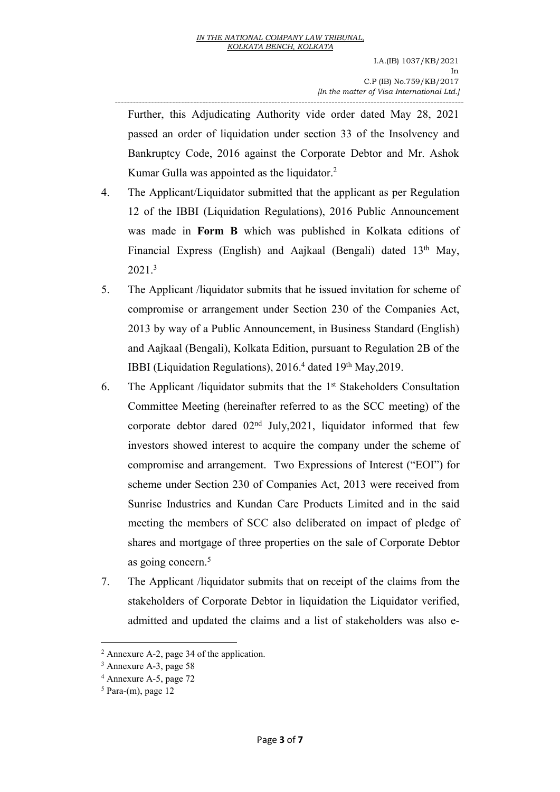-------------------------------------------------------------------------------------------------------------------- Further, this Adjudicating Authority vide order dated May 28, 2021 passed an order of liquidation under section 33 of the Insolvency and Bankruptcy Code, 2016 against the Corporate Debtor and Mr. Ashok Kumar Gulla was appointed as the liquidator.<sup>[2](#page-3-0)</sup>

- 4. The Applicant/Liquidator submitted that the applicant as per Regulation 12 of the IBBI (Liquidation Regulations), 2016 Public Announcement was made in **Form B** which was published in Kolkata editions of Financial Express (English) and Aajkaal (Bengali) dated 13<sup>th</sup> May,<br>2021[.](#page-3-1)<sup>3</sup>
- 5. The Applicant /liquidator submits that he issued invitation for scheme of compromise or arrangement under Section 230 of the Companies Act, 2013 by way of a Public Announcement, in Business Standard (English) and Aajkaal (Bengali), Kolkata Edition, pursuant to Regulation 2B of the IBBI (Liquidation Regulations), 2016.<sup>[4](#page-3-2)</sup> dated 19<sup>th</sup> May, 2019.
- 6. The Applicant /liquidator submits that the 1 st Stakeholders Consultation Committee Meeting (hereinafter referred to as the SCC meeting) of the corporate debtor dared 02 nd July,2021, liquidator informed that few investors showed interest to acquire the company under the scheme of compromise and arrangement. Two Expressions of Interest ("EOI") for scheme under Section 230 of Companies Act, 2013 were received from Sunrise Industries and Kundan Care Products Limited and in the said meeting the members of SCC also deliberated on impact of pledge of shares and mortgage of three properties on the sale of Corporate Debtor as going concern.<sup>[5](#page-3-3)</sup>
- 7. The Applicant /liquidator submits that on receipt of the claims from the stakeholders of Corporate Debtor in liquidation the Liquidator verified, admitted and updated the claims and a list of stakeholders was also e-

<span id="page-3-0"></span><sup>2</sup> Annexure A-2, page 34 of the application.

<span id="page-3-1"></span><sup>3</sup> Annexure A-3, page 58

<span id="page-3-2"></span><sup>4</sup> Annexure A-5, page 72

<span id="page-3-3"></span> $5$  Para-(m), page 12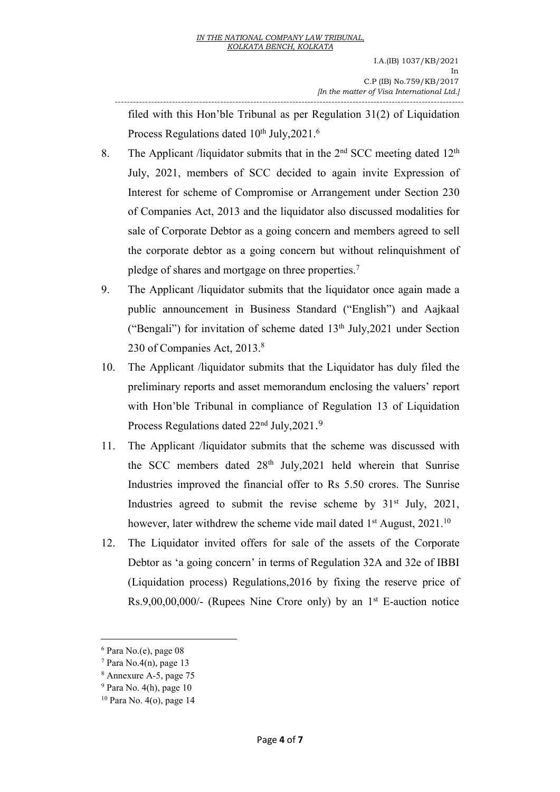filed with this Hon'ble Tribunal as per Regulation 31(2) of Liquidation Process Regulations dated 10<sup>th</sup> July, 2021.<sup>[6](#page-4-0)</sup>

--------------------------------------------------------------------------------------------------------------------

- 8. The Applicant /liquidator submits that in the  $2<sup>nd</sup>$  SCC meeting dated  $12<sup>th</sup>$ July, 2021, members of SCC decided to again invite Expression of Interest for scheme of Compromise or Arrangement under Section 230 of Companies Act, 2013 and the liquidator also discussed modalities for sale of Corporate Debtor as a going concern and members agreed to sell the corporate debtor as a going concern but without relinquishment of pledge of shares and mortgage on three properties.[7](#page-4-1)
- 9. The Applicant /liquidator submits that the liquidator once again made a public announcement in Business Standard ("English") and Aajkaal ("Bengali") for invitation of scheme dated 13 th July,2021 under Section 230 of Companies Act, 2013.[8](#page-4-2)
- 10. The Applicant /liquidator submits that the Liquidator has duly filed the preliminary reports and asset memorandum enclosing the valuers' report with Hon'ble Tribunal in compliance of Regulation 13 of Liquidation Process Regulations dated 22<sup>nd</sup> July, 2021.<sup>[9](#page-4-3)</sup>
- 11. The Applicant /liquidator submits that the scheme was discussed with the SCC members dated 28 th July,2021 held wherein that Sunrise Industries improved the financial offer to Rs 5.50 crores. The Sunrise Industries agreed to submit the revise scheme by 31<sup>st</sup> July, 2021, however, later withdrew the scheme vide mail dated 1<sup>st</sup> August, 2021.<sup>[10](#page-4-4)</sup>
- 12. The Liquidator invited offers for sale of the assets of the Corporate Debtor as 'a going concern' in terms of Regulation 32A and 32e of IBBI (Liquidation process) Regulations,2016 by fixing the reserve price of  $Rs.9,00,00,000/$ - (Rupees Nine Crore only) by an  $1<sup>st</sup>$  E-auction notice

<span id="page-4-0"></span><sup>6</sup> Para No.(e), page 08

<span id="page-4-1"></span> $7$  Para No.4(n), page 13

<span id="page-4-2"></span><sup>8</sup> Annexure A-5, page 75

<span id="page-4-3"></span> $9$  Para No. 4(h), page 10

<span id="page-4-4"></span><sup>10</sup> Para No. 4(o), page 14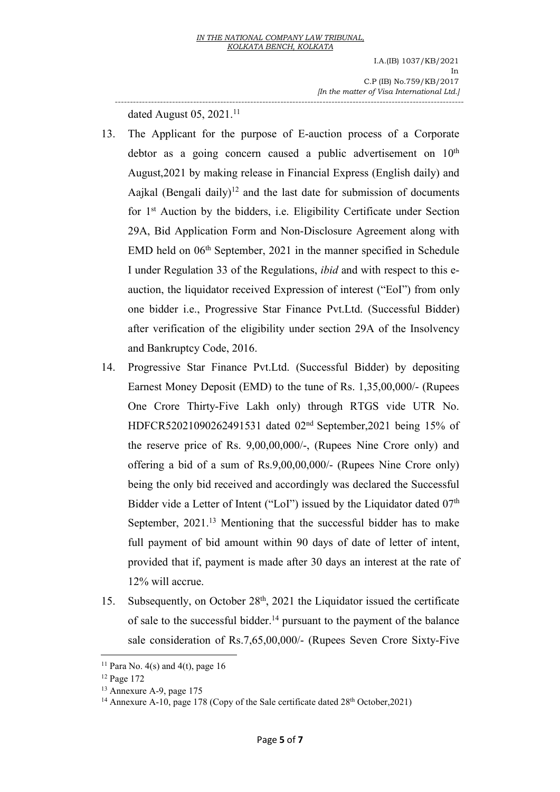I.A.(IB) 1037/KB/2021 In the contract of the contract of the contract of the contract of the contract of the contract of the contract of the contract of the contract of the contract of the contract of the contract of the contract of the contrac C.P (IB) No.759/KB/2017 *[In the matter of Visa International Ltd.]* --------------------------------------------------------------------------------------------------------------------

dated August 05,  $2021$ .<sup>[11](#page-5-0)</sup>

- 13. The Applicant for the purpose of E-auction process of a Corporate debtor as a going concern caused a public advertisement on  $10<sup>th</sup>$ th August,2021 by making release in Financial Express (English daily) and Aajkal (Bengali daily) [12](#page-5-1) and the last date for submission of documents for 1 st Auction by the bidders, i.e. Eligibility Certificate under Section 29A, Bid Application Form and Non-Disclosure Agreement along with EMD held on 06<sup>th</sup> September, 2021 in the manner specified in Schedule I under Regulation 33 of the Regulations, *ibid* and with respect to this e auction, the liquidator received Expression of interest ("EoI") from only one bidder i.e., Progressive Star Finance Pvt.Ltd. (Successful Bidder) after verification of the eligibility under section 29A of the Insolvency and Bankruptcy Code, 2016.
- 14. Progressive Star Finance Pvt.Ltd. (Successful Bidder) by depositing Earnest Money Deposit (EMD) to the tune of Rs. 1,35,00,000/- (Rupees One Crore Thirty-Five Lakh only) through RTGS vide UTR No. HDFCR52021090262491531 dated 02 nd September,2021 being 15% of the reserve price of Rs. 9,00,00,000/-, (Rupees Nine Crore only) and offering a bid of a sum of Rs.9,00,00,000/- (Rupees Nine Crore only) being the only bid received and accordingly was declared the Successful Bidder vide a Letter of Intent ("LoI") issued by the Liquidator dated 07<sup>th</sup> September, 2021.<sup>[13](#page-5-2)</sup> Mentioning that the successful bidder has to make full payment of bid amount within 90 days of date of letter of intent, provided that if, payment is made after 30 days an interest at the rate of 12% will accrue.
- 15. Subsequently, on October 28<sup>th</sup>, 2021 the Liquidator issued the certificate of sale to the successful bidder.<sup>[14](#page-5-3)</sup> pursuant to the payment of the balance sale consideration of Rs.7,65,00,000/- (Rupees Seven Crore Sixty-Five

<span id="page-5-0"></span><sup>&</sup>lt;sup>11</sup> Para No. 4(s) and 4(t), page 16

<span id="page-5-1"></span><sup>12</sup> Page 172

<span id="page-5-2"></span><sup>13</sup> Annexure A-9, page 175

<span id="page-5-3"></span><sup>&</sup>lt;sup>14</sup> Annexure A-10, page 178 (Copy of the Sale certificate dated 28<sup>th</sup> October, 2021)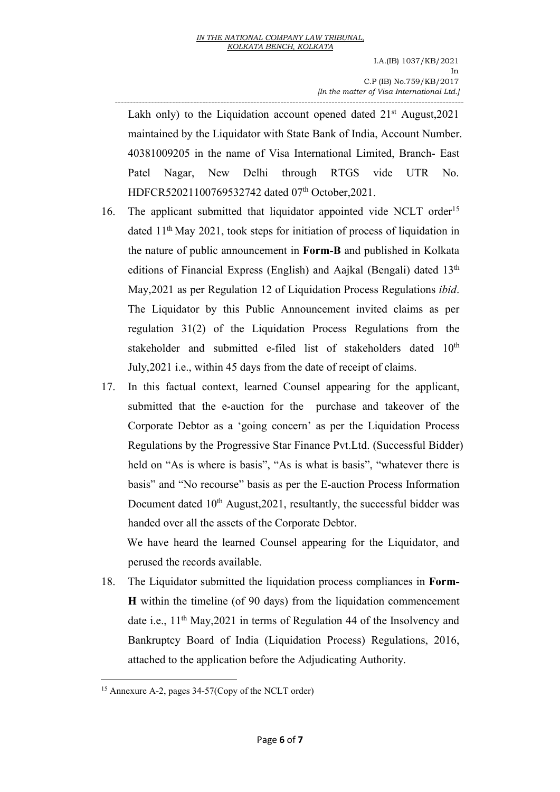-------------------------------------------------------------------------------------------------------------------- Lakh only) to the Liquidation account opened dated 21<sup>st</sup> August, 2021 maintained by the Liquidator with State Bank of India, Account Number. 40381009205 in the name of Visa International Limited, Branch- East Patel Nagar, New Delhi through RTGS vide UTR No. HDFCR52021100769532742 dated 07 th October,2021.

- 16. The applicant submitted that liquidator appointed vide NCLT order [15](#page-6-0) dated 11<sup>th</sup> May 2021, took steps for initiation of process of liquidation in the nature of public announcement in **Form-B** and published in Kolkata editions of Financial Express (English) and Aajkal (Bengali) dated 13<sup>th</sup> May,2021 as per Regulation 12 of Liquidation Process Regulations *ibid*. The Liquidator by this Public Announcement invited claims as per regulation 31(2) of the Liquidation Process Regulations from the stakeholder and submitted e-filed list of stakeholders dated 10<sup>th</sup> July, 2021 i.e., within 45 days from the date of receipt of claims.
- 17. In this factual context, learned Counsel appearing for the applicant, submitted that the e-auction for the purchase and takeover of the Corporate Debtor as a 'going concern' as per the Liquidation Process Regulations by the Progressive Star Finance Pvt.Ltd. (Successful Bidder) held on "As is where is basis", "As is what is basis", "whatever there is basis" and "No recourse" basis as per the E-auction Process Information Document dated 10<sup>th</sup> August, 2021, resultantly, the successful bidder was handed over all the assets of the Corporate Debtor.

We have heard the learned Counsel appearing for the Liquidator, and perused the records available.

18. The Liquidator submitted the liquidation process compliances in **Form- H** within the timeline (of 90 days) from the liquidation commencement date i.e., 11<sup>th</sup> May, 2021 in terms of Regulation 44 of the Insolvency and Bankruptcy Board of India (Liquidation Process) Regulations, 2016, attached to the application before the Adjudicating Authority.

<span id="page-6-0"></span><sup>15</sup> Annexure A-2, pages 34-57(Copy of the NCLT order)